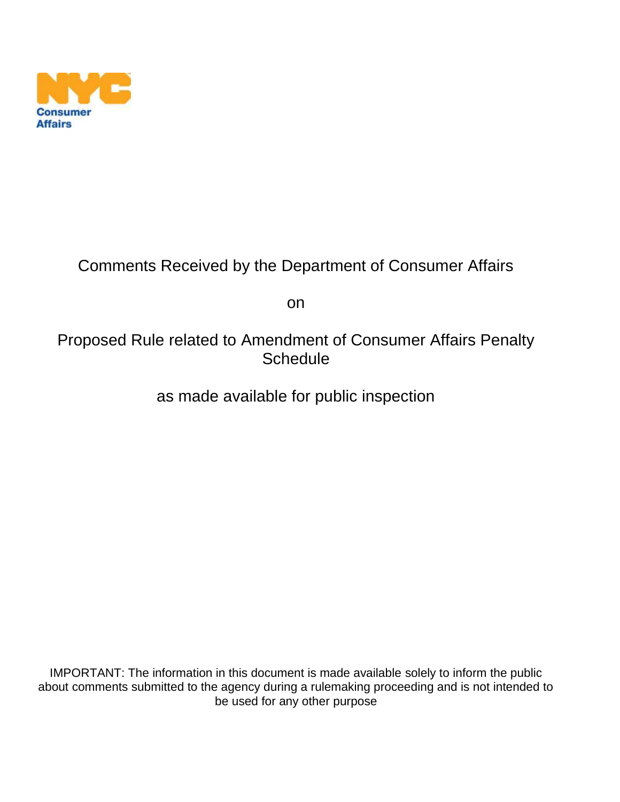

## Comments Received by the Department of Consumer Affairs

on

## Proposed Rule related to Amendment of Consumer Affairs Penalty **Schedule**

as made available for public inspection

IMPORTANT: The information in this document is made available solely to inform the public about comments submitted to the agency during a rulemaking proceeding and is not intended to be used for any other purpose